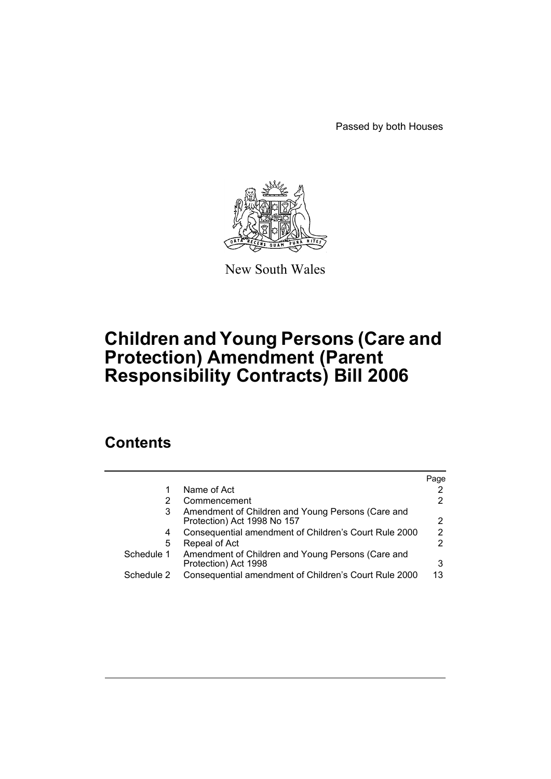Passed by both Houses



New South Wales

# **Children and Young Persons (Care and Protection) Amendment (Parent Responsibility Contracts) Bill 2006**

# **Contents**

|            |                                                                                  | Page                  |
|------------|----------------------------------------------------------------------------------|-----------------------|
| 1          | Name of Act                                                                      |                       |
| 2          | Commencement                                                                     | $\mathbf{2}^{\prime}$ |
| 3          | Amendment of Children and Young Persons (Care and<br>Protection) Act 1998 No 157 | 2                     |
| 4          | Consequential amendment of Children's Court Rule 2000                            | $\overline{2}$        |
| 5          | Repeal of Act                                                                    | 2                     |
| Schedule 1 | Amendment of Children and Young Persons (Care and<br>Protection) Act 1998        | 3                     |
| Schedule 2 | Consequential amendment of Children's Court Rule 2000                            | 13                    |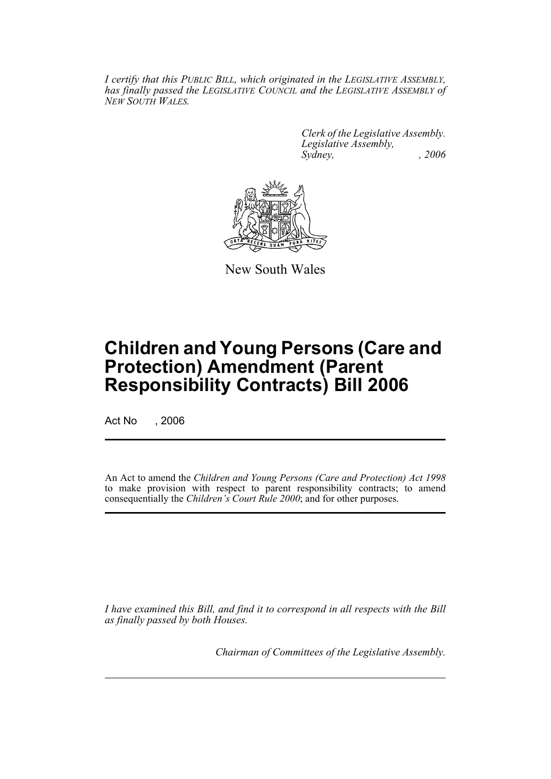*I certify that this PUBLIC BILL, which originated in the LEGISLATIVE ASSEMBLY, has finally passed the LEGISLATIVE COUNCIL and the LEGISLATIVE ASSEMBLY of NEW SOUTH WALES.*

> *Clerk of the Legislative Assembly. Legislative Assembly, Sydney, , 2006*



New South Wales

# **Children and Young Persons (Care and Protection) Amendment (Parent Responsibility Contracts) Bill 2006**

Act No . 2006

An Act to amend the *Children and Young Persons (Care and Protection) Act 1998* to make provision with respect to parent responsibility contracts; to amend consequentially the *Children's Court Rule 2000*; and for other purposes.

*I have examined this Bill, and find it to correspond in all respects with the Bill as finally passed by both Houses.*

*Chairman of Committees of the Legislative Assembly.*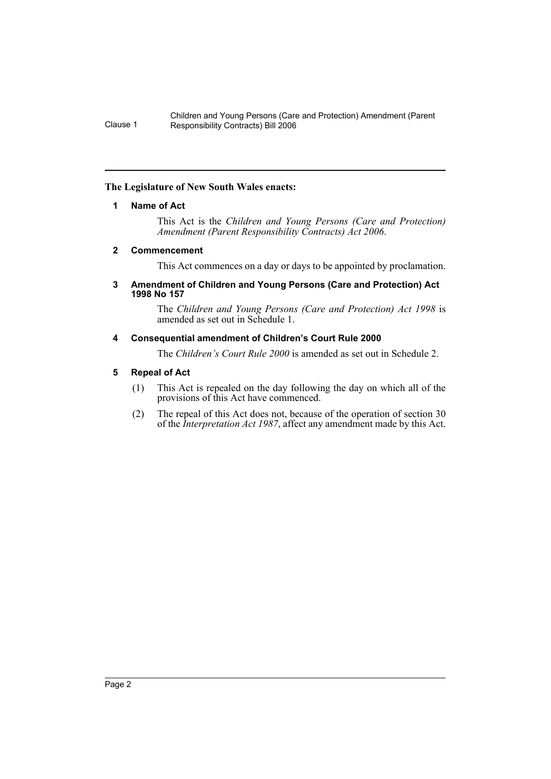#### **The Legislature of New South Wales enacts:**

#### **1 Name of Act**

This Act is the *Children and Young Persons (Care and Protection) Amendment (Parent Responsibility Contracts) Act 2006*.

#### **2 Commencement**

This Act commences on a day or days to be appointed by proclamation.

#### **3 Amendment of Children and Young Persons (Care and Protection) Act 1998 No 157**

The *Children and Young Persons (Care and Protection) Act 1998* is amended as set out in Schedule 1.

#### **4 Consequential amendment of Children's Court Rule 2000**

The *Children's Court Rule 2000* is amended as set out in Schedule 2.

## **5 Repeal of Act**

- (1) This Act is repealed on the day following the day on which all of the provisions of this Act have commenced.
- (2) The repeal of this Act does not, because of the operation of section 30 of the *Interpretation Act 1987*, affect any amendment made by this Act.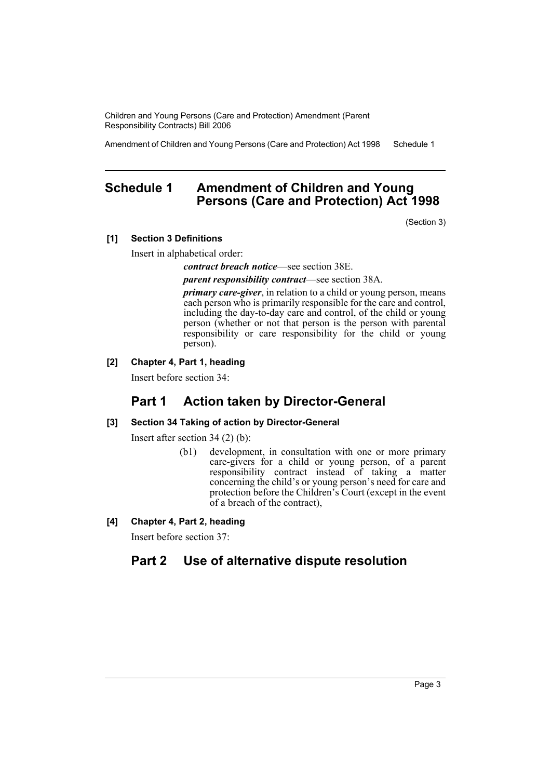Amendment of Children and Young Persons (Care and Protection) Act 1998 Schedule 1

# **Schedule 1 Amendment of Children and Young Persons (Care and Protection) Act 1998**

(Section 3)

#### **[1] Section 3 Definitions**

Insert in alphabetical order:

*contract breach notice*—see section 38E.

*parent responsibility contract*—see section 38A.

*primary care-giver*, in relation to a child or young person, means each person who is primarily responsible for the care and control, including the day-to-day care and control, of the child or young person (whether or not that person is the person with parental responsibility or care responsibility for the child or young person).

## **[2] Chapter 4, Part 1, heading**

Insert before section 34:

# **Part 1 Action taken by Director-General**

#### **[3] Section 34 Taking of action by Director-General**

Insert after section 34 (2) (b):

- (b1) development, in consultation with one or more primary care-givers for a child or young person, of a parent responsibility contract instead of taking a matter concerning the child's or young person's need for care and protection before the Children's Court (except in the event of a breach of the contract),
- **[4] Chapter 4, Part 2, heading**

Insert before section 37:

# **Part 2 Use of alternative dispute resolution**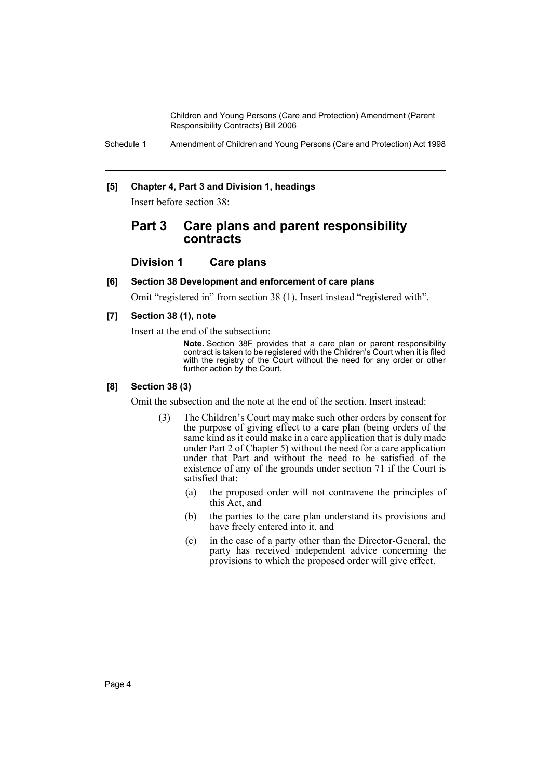Schedule 1 Amendment of Children and Young Persons (Care and Protection) Act 1998

#### **[5] Chapter 4, Part 3 and Division 1, headings**

Insert before section 38:

## **Part 3 Care plans and parent responsibility contracts**

#### **Division 1 Care plans**

#### **[6] Section 38 Development and enforcement of care plans**

Omit "registered in" from section 38 (1). Insert instead "registered with".

#### **[7] Section 38 (1), note**

Insert at the end of the subsection:

**Note.** Section 38F provides that a care plan or parent responsibility contract is taken to be registered with the Children's Court when it is filed with the registry of the Court without the need for any order or other further action by the Court.

#### **[8] Section 38 (3)**

Omit the subsection and the note at the end of the section. Insert instead:

- (3) The Children's Court may make such other orders by consent for the purpose of giving effect to a care plan (being orders of the same kind as it could make in a care application that is duly made under Part 2 of Chapter 5) without the need for a care application under that Part and without the need to be satisfied of the existence of any of the grounds under section 71 if the Court is satisfied that:
	- (a) the proposed order will not contravene the principles of this Act, and
	- (b) the parties to the care plan understand its provisions and have freely entered into it, and
	- (c) in the case of a party other than the Director-General, the party has received independent advice concerning the provisions to which the proposed order will give effect.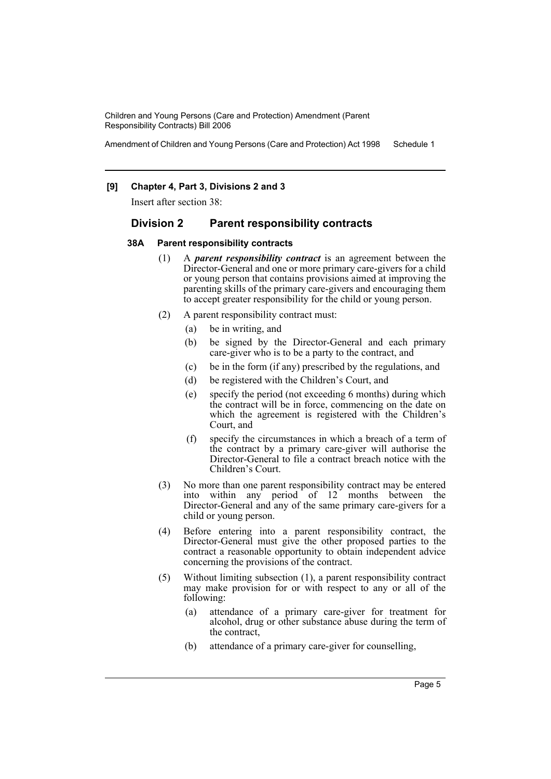Amendment of Children and Young Persons (Care and Protection) Act 1998 Schedule 1

#### **[9] Chapter 4, Part 3, Divisions 2 and 3**

Insert after section 38:

#### **Division 2 Parent responsibility contracts**

#### **38A Parent responsibility contracts**

- (1) A *parent responsibility contract* is an agreement between the Director-General and one or more primary care-givers for a child or young person that contains provisions aimed at improving the parenting skills of the primary care-givers and encouraging them to accept greater responsibility for the child or young person.
- (2) A parent responsibility contract must:
	- (a) be in writing, and
	- (b) be signed by the Director-General and each primary care-giver who is to be a party to the contract, and
	- (c) be in the form (if any) prescribed by the regulations, and
	- (d) be registered with the Children's Court, and
	- (e) specify the period (not exceeding 6 months) during which the contract will be in force, commencing on the date on which the agreement is registered with the Children's Court, and
	- (f) specify the circumstances in which a breach of a term of the contract by a primary care-giver will authorise the Director-General to file a contract breach notice with the Children's Court.
- (3) No more than one parent responsibility contract may be entered into within any period of 12 months between the Director-General and any of the same primary care-givers for a child or young person.
- (4) Before entering into a parent responsibility contract, the Director-General must give the other proposed parties to the contract a reasonable opportunity to obtain independent advice concerning the provisions of the contract.
- (5) Without limiting subsection (1), a parent responsibility contract may make provision for or with respect to any or all of the following:
	- (a) attendance of a primary care-giver for treatment for alcohol, drug or other substance abuse during the term of the contract,
	- (b) attendance of a primary care-giver for counselling,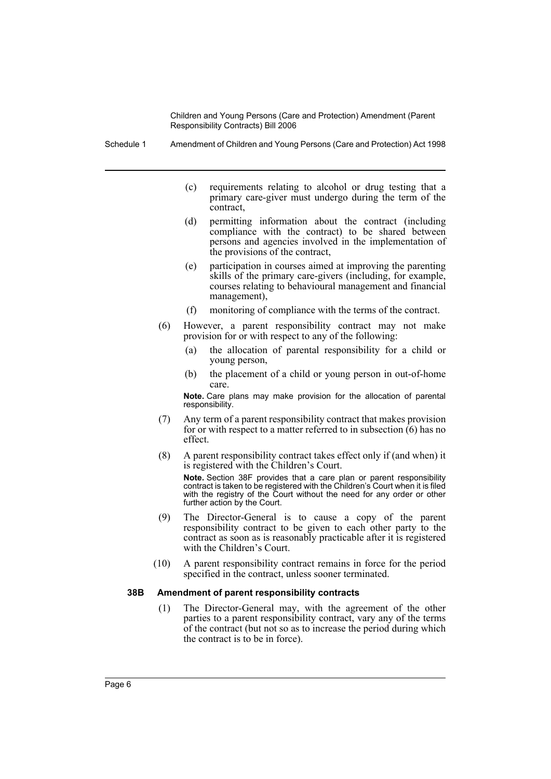Schedule 1 Amendment of Children and Young Persons (Care and Protection) Act 1998

- (c) requirements relating to alcohol or drug testing that a primary care-giver must undergo during the term of the contract,
- (d) permitting information about the contract (including compliance with the contract) to be shared between persons and agencies involved in the implementation of the provisions of the contract,
- (e) participation in courses aimed at improving the parenting skills of the primary care-givers (including, for example, courses relating to behavioural management and financial management),
- (f) monitoring of compliance with the terms of the contract.
- (6) However, a parent responsibility contract may not make provision for or with respect to any of the following:
	- (a) the allocation of parental responsibility for a child or young person,
	- (b) the placement of a child or young person in out-of-home care.

**Note.** Care plans may make provision for the allocation of parental responsibility.

- (7) Any term of a parent responsibility contract that makes provision for or with respect to a matter referred to in subsection  $(6)$  has no effect.
- (8) A parent responsibility contract takes effect only if (and when) it is registered with the Children's Court.

**Note.** Section 38F provides that a care plan or parent responsibility contract is taken to be registered with the Children's Court when it is filed with the registry of the Court without the need for any order or other further action by the Court.

- (9) The Director-General is to cause a copy of the parent responsibility contract to be given to each other party to the contract as soon as is reasonably practicable after it is registered with the Children's Court.
- (10) A parent responsibility contract remains in force for the period specified in the contract, unless sooner terminated.

#### **38B Amendment of parent responsibility contracts**

(1) The Director-General may, with the agreement of the other parties to a parent responsibility contract, vary any of the terms of the contract (but not so as to increase the period during which the contract is to be in force).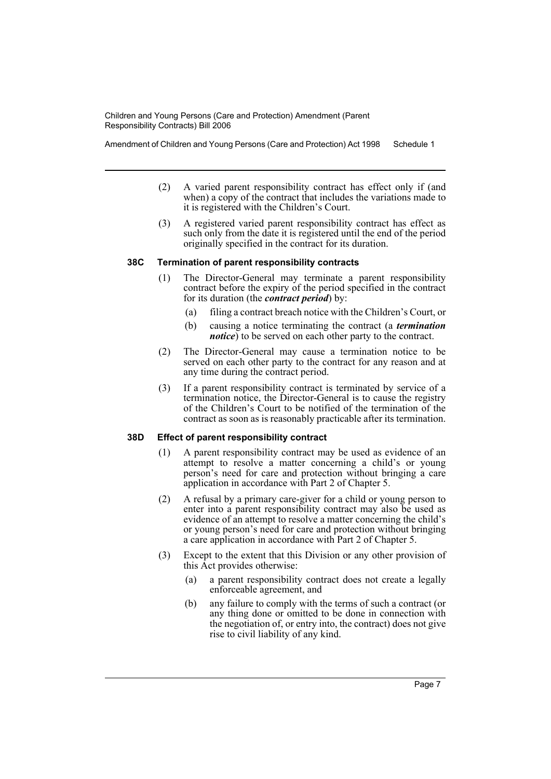Amendment of Children and Young Persons (Care and Protection) Act 1998 Schedule 1

- (2) A varied parent responsibility contract has effect only if (and when) a copy of the contract that includes the variations made to it is registered with the Children's Court.
- (3) A registered varied parent responsibility contract has effect as such only from the date it is registered until the end of the period originally specified in the contract for its duration.

#### **38C Termination of parent responsibility contracts**

- (1) The Director-General may terminate a parent responsibility contract before the expiry of the period specified in the contract for its duration (the *contract period*) by:
	- (a) filing a contract breach notice with the Children's Court, or
	- (b) causing a notice terminating the contract (a *termination notice*) to be served on each other party to the contract.
- (2) The Director-General may cause a termination notice to be served on each other party to the contract for any reason and at any time during the contract period.
- (3) If a parent responsibility contract is terminated by service of a termination notice, the Director-General is to cause the registry of the Children's Court to be notified of the termination of the contract as soon as is reasonably practicable after its termination.

#### **38D Effect of parent responsibility contract**

- (1) A parent responsibility contract may be used as evidence of an attempt to resolve a matter concerning a child's or young person's need for care and protection without bringing a care application in accordance with Part 2 of Chapter 5.
- (2) A refusal by a primary care-giver for a child or young person to enter into a parent responsibility contract may also be used as evidence of an attempt to resolve a matter concerning the child's or young person's need for care and protection without bringing a care application in accordance with Part 2 of Chapter 5.
- (3) Except to the extent that this Division or any other provision of this Act provides otherwise:
	- (a) a parent responsibility contract does not create a legally enforceable agreement, and
	- (b) any failure to comply with the terms of such a contract (or any thing done or omitted to be done in connection with the negotiation of, or entry into, the contract) does not give rise to civil liability of any kind.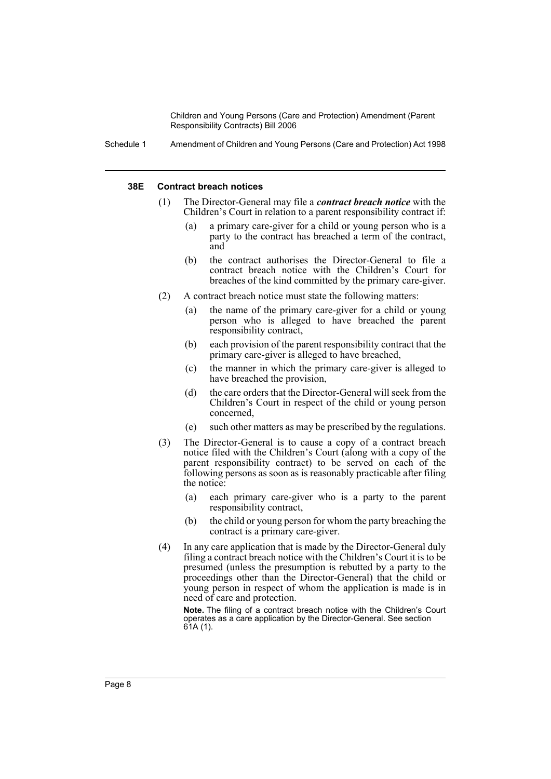Schedule 1 Amendment of Children and Young Persons (Care and Protection) Act 1998

#### **38E Contract breach notices**

- (1) The Director-General may file a *contract breach notice* with the Children's Court in relation to a parent responsibility contract if:
	- (a) a primary care-giver for a child or young person who is a party to the contract has breached a term of the contract, and
	- (b) the contract authorises the Director-General to file a contract breach notice with the Children's Court for breaches of the kind committed by the primary care-giver.
- (2) A contract breach notice must state the following matters:
	- (a) the name of the primary care-giver for a child or young person who is alleged to have breached the parent responsibility contract,
	- (b) each provision of the parent responsibility contract that the primary care-giver is alleged to have breached,
	- (c) the manner in which the primary care-giver is alleged to have breached the provision,
	- (d) the care orders that the Director-General will seek from the Children's Court in respect of the child or young person concerned,
	- (e) such other matters as may be prescribed by the regulations.
- (3) The Director-General is to cause a copy of a contract breach notice filed with the Children's Court (along with a copy of the parent responsibility contract) to be served on each of the following persons as soon as is reasonably practicable after filing the notice:
	- (a) each primary care-giver who is a party to the parent responsibility contract,
	- (b) the child or young person for whom the party breaching the contract is a primary care-giver.
- (4) In any care application that is made by the Director-General duly filing a contract breach notice with the Children's Court it is to be presumed (unless the presumption is rebutted by a party to the proceedings other than the Director-General) that the child or young person in respect of whom the application is made is in need of care and protection.

**Note.** The filing of a contract breach notice with the Children's Court operates as a care application by the Director-General. See section 61A (1).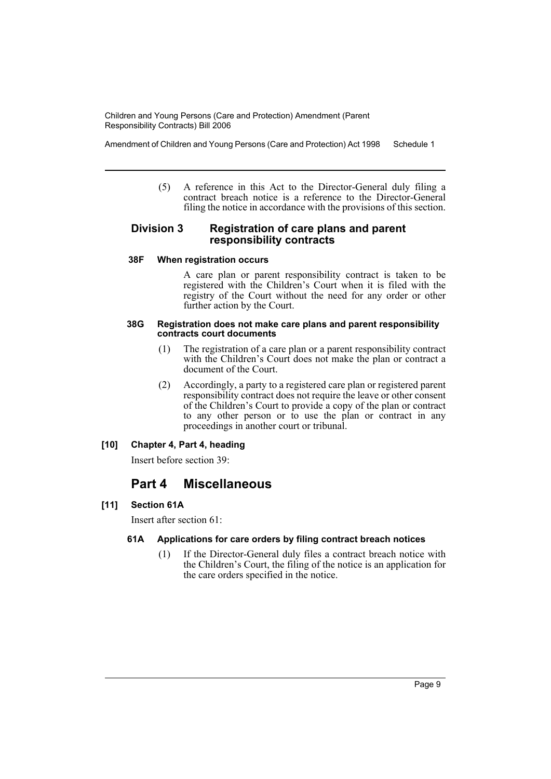Amendment of Children and Young Persons (Care and Protection) Act 1998 Schedule 1

(5) A reference in this Act to the Director-General duly filing a contract breach notice is a reference to the Director-General filing the notice in accordance with the provisions of this section.

#### **Division 3 Registration of care plans and parent responsibility contracts**

#### **38F When registration occurs**

A care plan or parent responsibility contract is taken to be registered with the Children's Court when it is filed with the registry of the Court without the need for any order or other further action by the Court.

#### **38G Registration does not make care plans and parent responsibility contracts court documents**

- (1) The registration of a care plan or a parent responsibility contract with the Children's Court does not make the plan or contract a document of the Court.
- (2) Accordingly, a party to a registered care plan or registered parent responsibility contract does not require the leave or other consent of the Children's Court to provide a copy of the plan or contract to any other person or to use the plan or contract in any proceedings in another court or tribunal.

## **[10] Chapter 4, Part 4, heading**

Insert before section 39:

# **Part 4 Miscellaneous**

#### **[11] Section 61A**

Insert after section 61:

#### **61A Applications for care orders by filing contract breach notices**

(1) If the Director-General duly files a contract breach notice with the Children's Court, the filing of the notice is an application for the care orders specified in the notice.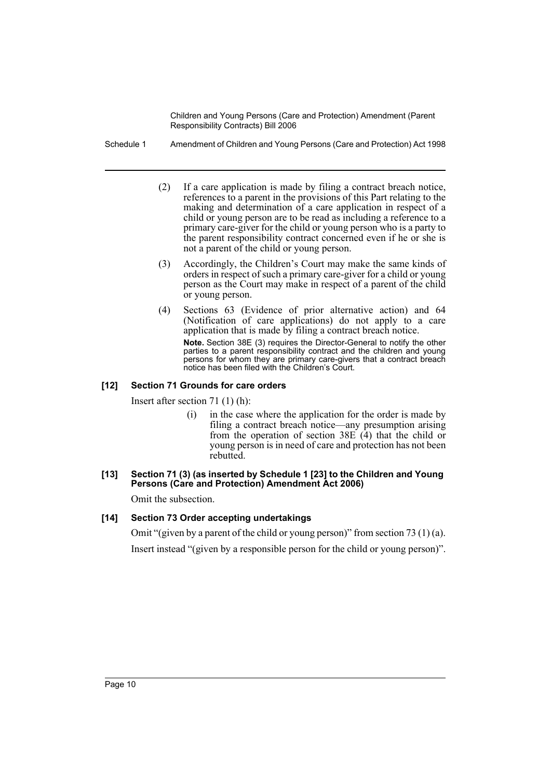- Schedule 1 Amendment of Children and Young Persons (Care and Protection) Act 1998
	- (2) If a care application is made by filing a contract breach notice, references to a parent in the provisions of this Part relating to the making and determination of a care application in respect of a child or young person are to be read as including a reference to a primary care-giver for the child or young person who is a party to the parent responsibility contract concerned even if he or she is not a parent of the child or young person.
	- (3) Accordingly, the Children's Court may make the same kinds of orders in respect of such a primary care-giver for a child or young person as the Court may make in respect of a parent of the child or young person.
	- (4) Sections 63 (Evidence of prior alternative action) and 64 (Notification of care applications) do not apply to a care application that is made by filing a contract breach notice. **Note.** Section 38E (3) requires the Director-General to notify the other parties to a parent responsibility contract and the children and young persons for whom they are primary care-givers that a contract breach notice has been filed with the Children's Court.

#### **[12] Section 71 Grounds for care orders**

Insert after section 71 (1) (h):

(i) in the case where the application for the order is made by filing a contract breach notice—any presumption arising from the operation of section  $38E(\hat{4})$  that the child or young person is in need of care and protection has not been rebutted.

#### **[13] Section 71 (3) (as inserted by Schedule 1 [23] to the Children and Young**  Persons (Care and Protection) Amendment Act 2006)

Omit the subsection.

#### **[14] Section 73 Order accepting undertakings**

Omit "(given by a parent of the child or young person)" from section 73 (1) (a). Insert instead "(given by a responsible person for the child or young person)".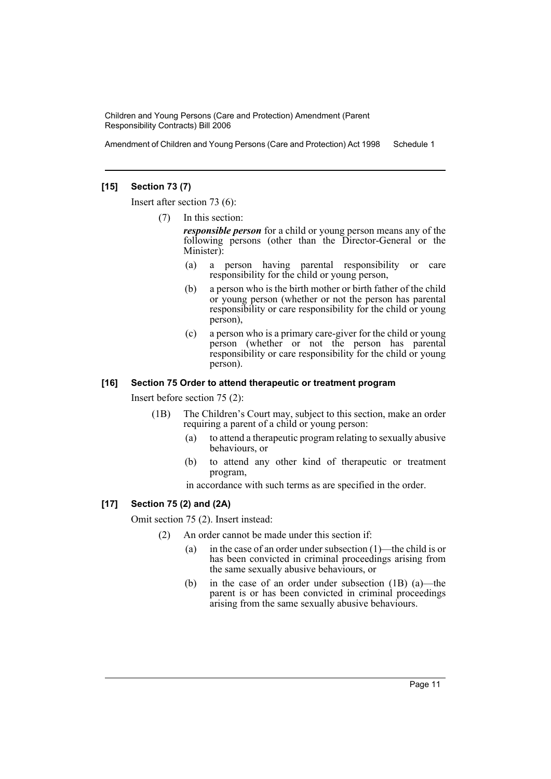Amendment of Children and Young Persons (Care and Protection) Act 1998 Schedule 1

#### **[15] Section 73 (7)**

Insert after section 73 (6):

(7) In this section:

*responsible person* for a child or young person means any of the following persons (other than the Director-General or the Minister):

- (a) a person having parental responsibility or care responsibility for the child or young person,
- (b) a person who is the birth mother or birth father of the child or young person (whether or not the person has parental responsibility or care responsibility for the child or young person),
- (c) a person who is a primary care-giver for the child or young person (whether or not the person has parental responsibility or care responsibility for the child or young person).

#### **[16] Section 75 Order to attend therapeutic or treatment program**

Insert before section 75 (2):

- (1B) The Children's Court may, subject to this section, make an order requiring a parent of a child or young person:
	- (a) to attend a therapeutic program relating to sexually abusive behaviours, or
	- (b) to attend any other kind of therapeutic or treatment program,

in accordance with such terms as are specified in the order.

#### **[17] Section 75 (2) and (2A)**

Omit section 75 (2). Insert instead:

- (2) An order cannot be made under this section if:
	- (a) in the case of an order under subsection (1)—the child is or has been convicted in criminal proceedings arising from the same sexually abusive behaviours, or
	- (b) in the case of an order under subsection (1B) (a)—the parent is or has been convicted in criminal proceedings arising from the same sexually abusive behaviours.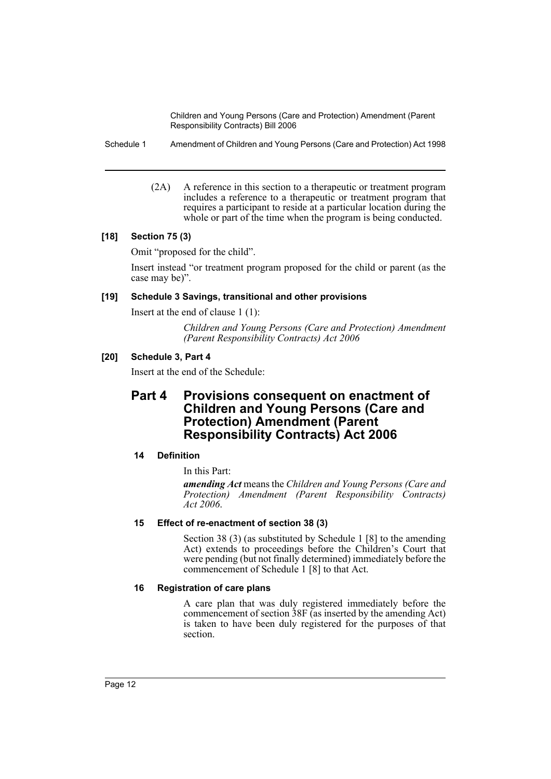Schedule 1 Amendment of Children and Young Persons (Care and Protection) Act 1998

(2A) A reference in this section to a therapeutic or treatment program includes a reference to a therapeutic or treatment program that requires a participant to reside at a particular location during the whole or part of the time when the program is being conducted.

#### **[18] Section 75 (3)**

Omit "proposed for the child".

Insert instead "or treatment program proposed for the child or parent (as the case may be)".

#### **[19] Schedule 3 Savings, transitional and other provisions**

Insert at the end of clause 1 (1):

*Children and Young Persons (Care and Protection) Amendment (Parent Responsibility Contracts) Act 2006*

## **[20] Schedule 3, Part 4**

Insert at the end of the Schedule:

## **Part 4 Provisions consequent on enactment of Children and Young Persons (Care and Protection) Amendment (Parent Responsibility Contracts) Act 2006**

#### **14 Definition**

In this Part:

*amending Act* means the *Children and Young Persons (Care and Protection) Amendment (Parent Responsibility Contracts) Act 2006*.

#### **15 Effect of re-enactment of section 38 (3)**

Section 38 (3) (as substituted by Schedule 1 [8] to the amending Act) extends to proceedings before the Children's Court that were pending (but not finally determined) immediately before the commencement of Schedule 1 [8] to that Act.

#### **16 Registration of care plans**

A care plan that was duly registered immediately before the commencement of section 38F (as inserted by the amending Act) is taken to have been duly registered for the purposes of that section.